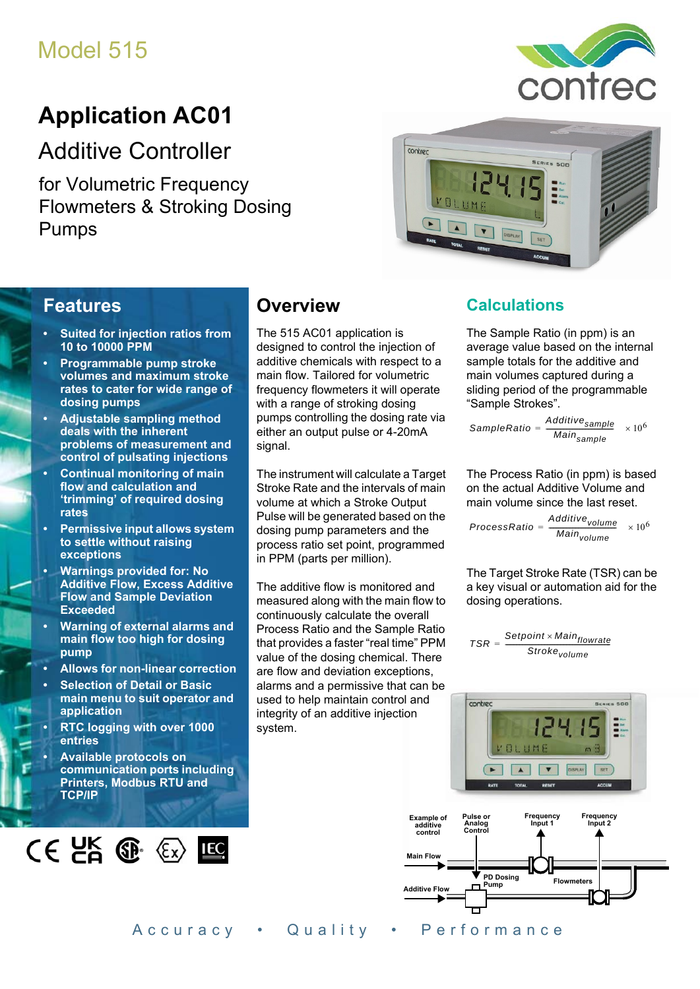## Model 515

# **Application AC01**

Additive Controller

for Volumetric Frequency Flowmeters & Stroking Dosing Pumps



# contrec **RIES SON**

## **Features**

- **Suited for injection ratios from 10 to 10000 PPM**
- **Programmable pump stroke volumes and maximum stroke rates to cater for wide range of dosing pumps**
- **Adjustable sampling method deals with the inherent problems of measurement and control of pulsating injections**
- **Continual monitoring of main flow and calculation and 'trimming' of required dosing rates**
- **Permissive input allows system to settle without raising exceptions**
- **Warnings provided for: No Additive Flow, Excess Additive Flow and Sample Deviation Exceeded**
- **Warning of external alarms and main flow too high for dosing pump**
- **Allows for non-linear correction**
- **Selection of Detail or Basic main menu to suit operator and application**
- **RTC logging with over 1000 entries**
- **Available protocols on communication ports including Printers, Modbus RTU and TCP/IP**



## **Overview**

The 515 AC01 application is designed to control the injection of additive chemicals with respect to a main flow. Tailored for volumetric frequency flowmeters it will operate with a range of stroking dosing pumps controlling the dosing rate via either an output pulse or 4-20mA signal.

The instrument will calculate a Target Stroke Rate and the intervals of main volume at which a Stroke Output Pulse will be generated based on the dosing pump parameters and the process ratio set point, programmed in PPM (parts per million).

The additive flow is monitored and measured along with the main flow to continuously calculate the overall Process Ratio and the Sample Ratio that provides a faster "real time" PPM value of the dosing chemical. There are flow and deviation exceptions, alarms and a permissive that can be used to help maintain control and integrity of an additive injection system.

## **Calculations**

The Sample Ratio (in ppm) is an average value based on the internal sample totals for the additive and main volumes captured during a sliding period of the programmable "Sample Strokes".

SampleRatio =  $\frac{\text{Additive} }{\text{if } \text{sample}}$  × 10<sup>6</sup> *Mainsample*

The Process Ratio (in ppm) is based on the actual Additive Volume and main volume since the last reset.

```
ProcessRatio
       =\frac{Additive_{volume}}{111} \times 10^{6}Mainvolume
```
The Target Stroke Rate (TSR) can be a key visual or automation aid for the dosing operations.

$$
TSR = \frac{Setpoint \times Main_{flowrate}}{Stroke_{volume}}
$$



**Flowm** 

Accuracy • Quality • Performance

**Pump**

**Additive Flow**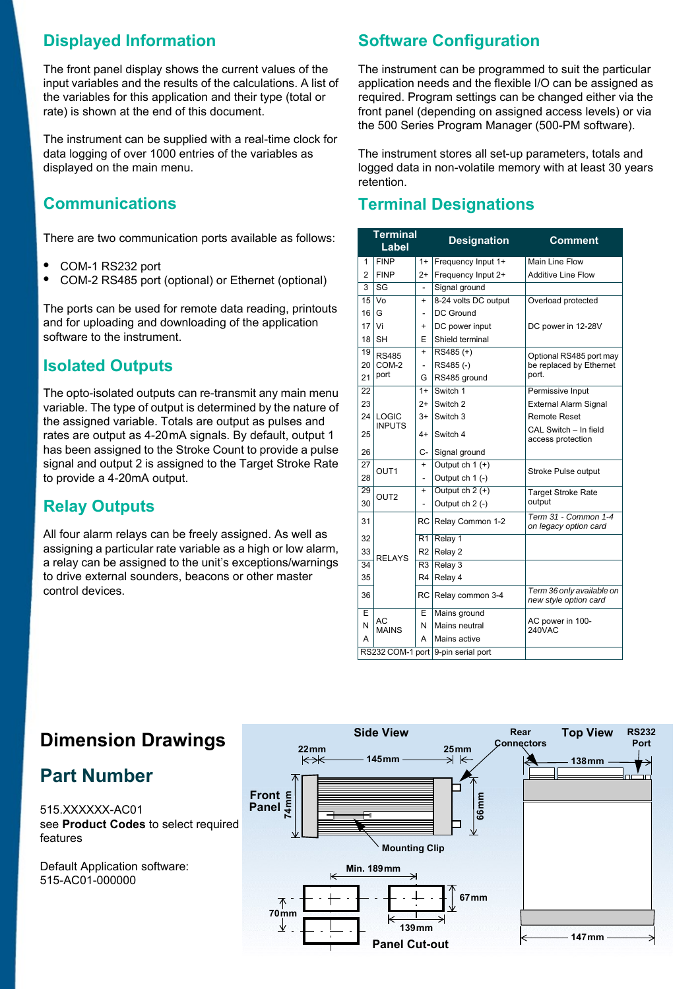## **Displayed Information**

The front panel display shows the current values of the input variables and the results of the calculations. A list of the variables for this application and their type (total or rate) is shown at the end of this document.

The instrument can be supplied with a real-time clock for data logging of over 1000 entries of the variables as displayed on the main menu.

## **Communications**

There are two communication ports available as follows:

- **•** COM-1 RS232 port
- **•** COM-2 RS485 port (optional) or Ethernet (optional)

The ports can be used for remote data reading, printouts and for uploading and downloading of the application software to the instrument.

## **Isolated Outputs**

The opto-isolated outputs can re-transmit any main menu variable. The type of output is determined by the nature of the assigned variable. Totals are output as pulses and rates are output as 4-20 mA signals. By default, output 1 has been assigned to the Stroke Count to provide a pulse signal and output 2 is assigned to the Target Stroke Rate to provide a 4-20mA output.

## **Relay Outputs**

All four alarm relays can be freely assigned. As well as assigning a particular rate variable as a high or low alarm, a relay can be assigned to the unit's exceptions/warnings to drive external sounders, beacons or other master control devices.

## **Software Configuration**

The instrument can be programmed to suit the particular application needs and the flexible I/O can be assigned as required. Program settings can be changed either via the front panel (depending on assigned access levels) or via the 500 Series Program Manager (500-PM software).

The instrument stores all set-up parameters, totals and logged data in non-volatile memory with at least 30 years retention.

#### **Terminal Designations**

|                 | <b>Terminal</b><br>Label           |                | <b>Designation</b>   | <b>Comment</b>                                     |  |  |
|-----------------|------------------------------------|----------------|----------------------|----------------------------------------------------|--|--|
| 1               | <b>FINP</b>                        | $1+$           | Frequency Input 1+   | <b>Main Line Flow</b>                              |  |  |
| 2               | <b>FINP</b>                        | $2+$           | Frequency Input 2+   | <b>Additive Line Flow</b>                          |  |  |
| 3               | $\overline{\text{SG}}$             |                | Signal ground        |                                                    |  |  |
| 15              | Vo                                 | $\ddot{}$      | 8-24 volts DC output | Overload protected                                 |  |  |
| 16 <sup>1</sup> | G                                  | $\overline{a}$ | <b>DC Ground</b>     |                                                    |  |  |
| 17 <sup>1</sup> | Vi                                 | $\ddot{}$      | DC power input       | DC power in 12-28V                                 |  |  |
| 18 <sup>1</sup> | <b>SH</b>                          | F              | Shield terminal      |                                                    |  |  |
| 19              | <b>RS485</b>                       | $\ddot{}$      | $RS485 (+)$          | Optional RS485 port may                            |  |  |
| 20              | COM-2                              | ä,             | RS485(-)             | be replaced by Ethernet                            |  |  |
| 21              | port                               | G              | RS485 ground         | port.                                              |  |  |
| 22              |                                    | $1+$           | Switch 1             | Permissive Input                                   |  |  |
| 23              |                                    | $2+$           | Switch <sub>2</sub>  | <b>External Alarm Signal</b>                       |  |  |
| 24              | LOGIC                              | $3+$           | Switch 3             | <b>Remote Reset</b>                                |  |  |
| 25              | <b>INPUTS</b>                      | 4+             | Switch 4             | CAL Switch - In field<br>access protection         |  |  |
| 26              |                                    | C-             | Signal ground        |                                                    |  |  |
| 27              | OUT <sub>1</sub>                   | $\ddot{}$      | Output ch 1 (+)      | Stroke Pulse output                                |  |  |
| 28              |                                    | $\overline{a}$ | Output ch 1 (-)      |                                                    |  |  |
| 29              | OUT <sub>2</sub>                   | $\ddot{}$      | Output $ch 2 (+)$    | <b>Target Stroke Rate</b>                          |  |  |
| 30              |                                    |                | Output ch 2 (-)      | output                                             |  |  |
| 31              |                                    |                | RC Relay Common 1-2  | Term 31 - Common 1-4<br>on legacy option card      |  |  |
| 32              |                                    | R <sub>1</sub> | Relay 1              |                                                    |  |  |
| 33              | <b>RELAYS</b>                      | R <sub>2</sub> | Relay 2              |                                                    |  |  |
| 34              |                                    | R <sub>3</sub> | Relay 3              |                                                    |  |  |
| 35              |                                    | R <sub>4</sub> | Relay 4              |                                                    |  |  |
| 36              |                                    | RC             | Relay common 3-4     | Term 36 only available on<br>new style option card |  |  |
| E               |                                    | Е              | Mains ground         |                                                    |  |  |
| N               | АC<br><b>MAINS</b>                 | N              | Mains neutral        | AC power in 100-<br>240VAC                         |  |  |
| А               |                                    | А              | Mains active         |                                                    |  |  |
|                 | RS232 COM-1 port 9-pin serial port |                |                      |                                                    |  |  |



## **Dimension Drawings**

## **Part Number**

515.XXXXXX-AC01 see **[Product Codes](#page-3-0)** to select required features

Default Application software: 515-AC01-000000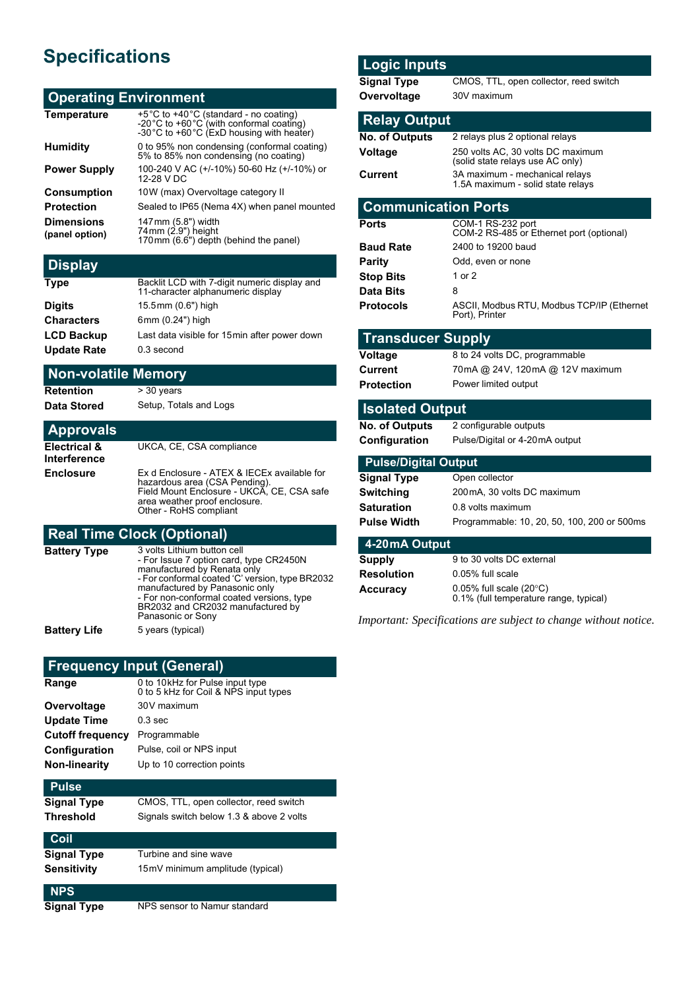## **Specifications**

#### **Operating Environment**

| <b>Temperature</b>                  | +5°C to +40°C (standard - no coating)<br>-20 °C to +60 °C (with conformal coating)<br>-30 °C to +60 °C (ExD housing with heater) |
|-------------------------------------|----------------------------------------------------------------------------------------------------------------------------------|
| <b>Humidity</b>                     | 0 to 95% non condensing (conformal coating)<br>5% to 85% non condensing (no coating)                                             |
| <b>Power Supply</b>                 | 100-240 V AC (+/-10%) 50-60 Hz (+/-10%) or<br>12-28 V DC                                                                         |
| <b>Consumption</b>                  | 10W (max) Overvoltage category II                                                                                                |
| <b>Protection</b>                   | Sealed to IP65 (Nema 4X) when panel mounted                                                                                      |
| <b>Dimensions</b><br>(panel option) | 147 mm (5.8") width<br>74 mm (2.9") height<br>170 mm (6.6") depth (behind the panel)                                             |
|                                     |                                                                                                                                  |

#### **Display**

| <b>Type</b>        | Backlit LCD with 7-digit numeric display and<br>11-character alphanumeric display |
|--------------------|-----------------------------------------------------------------------------------|
| <b>Digits</b>      | 15.5mm (0.6") high                                                                |
| <b>Characters</b>  | 6mm (0.24") high                                                                  |
| <b>LCD Backup</b>  | Last data visible for 15 min after power down                                     |
| <b>Update Rate</b> | 0.3 second                                                                        |

#### **Non-volatile Memory**

**Retention** > 30 years

**Data Stored** Setup, Totals and Logs

#### **Approvals Electrical & Interference** UKCA, CE, CSA compliance **Enclosure** Ex d Enclosure - ATEX & IECEx available for<br>hazardous area (CSA Pending). Field Mount Enclosure - UKCA, CE, CSA safe area weather proof enclosure. Other - RoHS compliant

#### **Real Time Clock (Optional)**

| Battery Type | 3 volts Lithium button cell<br>- For Issue 7 option card, type CR2450N<br>manufactured by Renata only<br>- For conformal coated 'C' version, type BR2032<br>manufactured by Panasonic only |  |
|--------------|--------------------------------------------------------------------------------------------------------------------------------------------------------------------------------------------|--|
|              | - For non-conformal coated versions, type<br>BR2032 and CR2032 manufactured by<br>Panasonic or Sony                                                                                        |  |
| Battery Life | 5 years (typical)                                                                                                                                                                          |  |

#### **Frequency Input (General)**

| Range                   | 0 to 10kHz for Pulse input type<br>0 to 5 kHz for Coil & NPS input types |
|-------------------------|--------------------------------------------------------------------------|
| Overvoltage             | 30V maximum                                                              |
| <b>Update Time</b>      | $0.3 \text{ sec}$                                                        |
| <b>Cutoff frequency</b> | Programmable                                                             |
| Configuration           | Pulse, coil or NPS input                                                 |
| <b>Non-linearity</b>    | Up to 10 correction points                                               |
| <b>Pulse</b>            |                                                                          |
| <b>Signal Type</b>      | CMOS, TTL, open collector, reed switch                                   |
| <b>Threshold</b>        | Signals switch below 1.3 & above 2 volts                                 |
|                         |                                                                          |

| <b>Coil</b> |                                  |
|-------------|----------------------------------|
| Signal Type | Turbine and sine wave            |
| Sensitivitv | 15mV minimum amplitude (typical) |
|             |                                  |

#### **NPS**

**Signal Type** NPS sensor to Namur standard

#### **Logic Inputs**

| <b>Signal Type</b>          | CMOS, TTL, open collector, reed switch                                |  |  |  |
|-----------------------------|-----------------------------------------------------------------------|--|--|--|
| Overvoltage                 | 30V maximum                                                           |  |  |  |
|                             |                                                                       |  |  |  |
| <b>Relay Output</b>         |                                                                       |  |  |  |
| No. of Outputs              | 2 relays plus 2 optional relays                                       |  |  |  |
| Voltage                     | 250 volts AC, 30 volts DC maximum<br>(solid state relays use AC only) |  |  |  |
| Current                     | 3A maximum - mechanical relays<br>1.5A maximum - solid state relays   |  |  |  |
| <b>Communication Ports</b>  |                                                                       |  |  |  |
| <b>Ports</b>                | COM-1 RS-232 port<br>COM-2 RS-485 or Ethernet port (optional)         |  |  |  |
| <b>Baud Rate</b>            | 2400 to 19200 baud                                                    |  |  |  |
| Parity                      | Odd, even or none                                                     |  |  |  |
| <b>Stop Bits</b>            | 1 or 2                                                                |  |  |  |
| <b>Data Bits</b>            | 8                                                                     |  |  |  |
| <b>Protocols</b>            | ASCII, Modbus RTU, Modbus TCP/IP (Ethernet<br>Port), Printer          |  |  |  |
| <b>Transducer Supply</b>    |                                                                       |  |  |  |
| Voltage                     | 8 to 24 volts DC, programmable                                        |  |  |  |
| Current                     | 70mA @ 24V, 120mA @ 12V maximum                                       |  |  |  |
| <b>Protection</b>           | Power limited output                                                  |  |  |  |
| <b>Isolated Output</b>      |                                                                       |  |  |  |
| No. of Outputs              | 2 configurable outputs                                                |  |  |  |
| Configuration               | Pulse/Digital or 4-20mA output                                        |  |  |  |
| <b>Pulse/Digital Output</b> |                                                                       |  |  |  |
| <b>Signal Type</b>          | Open collector                                                        |  |  |  |
| <b>Switching</b>            | 200mA. 30 volts DC maximum                                            |  |  |  |
| Saturation                  | 0.8 volts maximum                                                     |  |  |  |
| <b>Pulse Width</b>          | Programmable: 10, 20, 50, 100, 200 or 500ms                           |  |  |  |
|                             |                                                                       |  |  |  |
| 4-20 mA Output              |                                                                       |  |  |  |
| <b>Supply</b>               | 9 to 30 volts DC external                                             |  |  |  |
| <b>Resolution</b>           | 0.05% full scale                                                      |  |  |  |

*Important: Specifications are subject to change without notice.*